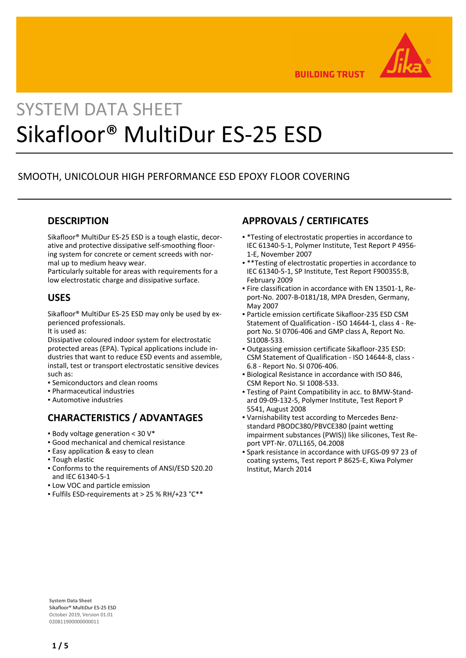

**BUILDING TRUST** 

# SYSTEM DATA SHEET Sikafloor® MultiDur ES-25 ESD

# SMOOTH, UNICOLOUR HIGH PERFORMANCE ESD EPOXY FLOOR COVERING

## **DESCRIPTION**

Sikafloor® MultiDur ES-25 ESD is a tough elastic, decorative and protective dissipative self-smoothing flooring system for concrete or cement screeds with normal up to medium heavy wear.

Particularly suitable for areas with requirements for a low electrostatic charge and dissipative surface.

#### **USES**

Sikafloor® MultiDur ES-25 ESD may only be used by experienced professionals.

It is used as:

Dissipative coloured indoor system for electrostatic protected areas (EPA). Typical applications include industries that want to reduce ESD events and assemble, install, test or transport electrostatic sensitive devices such as:

- Semiconductors and clean rooms
- Pharmaceutical industries
- Automotive industries

# **CHARACTERISTICS / ADVANTAGES**

- $\bullet$  Body voltage generation < 30 V\*
- Good mechanical and chemical resistance
- **Easy application & easy to clean**
- Tough elastic
- Conforms to the requirements of ANSI/ESD S20.20 and IEC 61340-5-1
- **.** Low VOC and particle emission
- Fulfils ESD-requirements at > 25 % RH/+23 °C\*\*

# **APPROVALS / CERTIFICATES**

- \*Testing of electrostatic properties in accordance to IEC 61340-5-1, Polymer Institute, Test Report P 4956- 1-E, November 2007
- \*\* Testing of electrostatic properties in accordance to IEC 61340-5-1, SP Institute, Test Report F900355:B, February 2009
- Fire classification in accordance with EN 13501-1, Re-▪ port-No. 2007-B-0181/18, MPA Dresden, Germany, May 2007
- Particle emission certificate Sikafloor-235 ESD CSM Statement of Qualification - ISO 14644-1, class 4 - Report No. SI 0706-406 and GMP class A, Report No. SI1008-533.
- Outgassing emission certificate Sikafloor-235 ESD: CSM Statement of Qualification - ISO 14644-8, class - 6.8 - Report No. SI 0706-406.
- **Biological Resistance in accordance with ISO 846,** CSM Report No. SI 1008-533.
- Testing of Paint Compatibility in acc. to BMW-Stand-▪ ard 09-09-132-5, Polymer Institute, Test Report P 5541, August 2008
- Varnishability test according to Mercedes Benz-▪ standard PBODC380/PBVCE380 (paint wetting impairment substances (PWIS)) like silicones, Test Report VPT-Nr. 07LL165, 04.2008
- Spark resistance in accordance with UFGS-09 97 23 of coating systems, Test report P 8625-E, Kiwa Polymer Institut, March 2014

**System Data Sheet** Sikafloor® MultiDur ES-25 ESD October 2019, Version 01.01 020811900000000011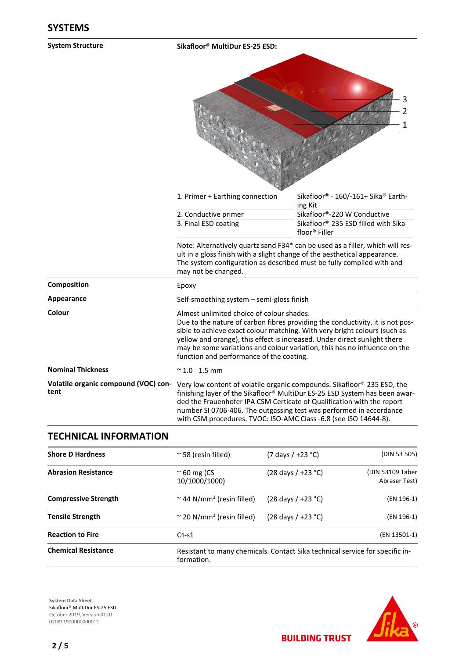| <b>System Structure</b>                      | Sikafloor <sup>®</sup> MultiDur ES-25 ESD:                                                                                                                                                                                                                                                                                                                                                                    |                                                                               |  |
|----------------------------------------------|---------------------------------------------------------------------------------------------------------------------------------------------------------------------------------------------------------------------------------------------------------------------------------------------------------------------------------------------------------------------------------------------------------------|-------------------------------------------------------------------------------|--|
|                                              |                                                                                                                                                                                                                                                                                                                                                                                                               | າ<br>1                                                                        |  |
|                                              | 1. Primer + Earthing connection                                                                                                                                                                                                                                                                                                                                                                               | Sikafloor® - 160/-161+ Sika® Earth-<br>ing Kit                                |  |
|                                              | 2. Conductive primer                                                                                                                                                                                                                                                                                                                                                                                          | Sikafloor®-220 W Conductive                                                   |  |
|                                              | 3. Final ESD coating                                                                                                                                                                                                                                                                                                                                                                                          | Sikafloor®-235 ESD filled with Sika-<br>floor® Filler                         |  |
|                                              | ult in a gloss finish with a slight change of the aesthetical appearance.<br>The system configuration as described must be fully complied with and<br>may not be changed.                                                                                                                                                                                                                                     | Note: Alternatively quartz sand F34* can be used as a filler, which will res- |  |
| Composition                                  | Epoxy                                                                                                                                                                                                                                                                                                                                                                                                         |                                                                               |  |
| Appearance                                   | Self-smoothing system - semi-gloss finish                                                                                                                                                                                                                                                                                                                                                                     |                                                                               |  |
| Colour                                       | Almost unlimited choice of colour shades.<br>Due to the nature of carbon fibres providing the conductivity, it is not pos-<br>sible to achieve exact colour matching. With very bright colours (such as<br>yellow and orange), this effect is increased. Under direct sunlight there<br>may be some variations and colour variation, this has no influence on the<br>function and performance of the coating. |                                                                               |  |
| <b>Nominal Thickness</b>                     | $~^{\sim}$ 1.0 - 1.5 mm                                                                                                                                                                                                                                                                                                                                                                                       |                                                                               |  |
| Volatile organic compound (VOC) con-<br>tent | Very low content of volatile organic compounds. Sikafloor®-235 ESD, the<br>finishing layer of the Sikafloor® MultiDur ES-25 ESD System has been awar-<br>ded the Frauenhofer IPA CSM Certicate of Qualification with the report<br>number SI 0706-406. The outgassing test was performed in accordance<br>with CSM procedures. TVOC: ISO-AMC Class -6.8 (see ISO 14644-8).                                    |                                                                               |  |
|                                              |                                                                                                                                                                                                                                                                                                                                                                                                               |                                                                               |  |

| TECHNICAL INFORMATION       |                                               |                                                                              |                                   |  |
|-----------------------------|-----------------------------------------------|------------------------------------------------------------------------------|-----------------------------------|--|
| <b>Shore D Hardness</b>     | $\approx$ 58 (resin filled)                   | $(7 \text{ days } / +23 \text{ °C})$                                         | (DIN 53 505)                      |  |
| <b>Abrasion Resistance</b>  | $\approx$ 60 mg (CS<br>10/1000/1000)          | $(28 \text{ days} / +23 \text{ °C})$                                         | (DIN 53109 Taber<br>Abraser Test) |  |
| <b>Compressive Strength</b> | $\approx$ 44 N/mm <sup>2</sup> (resin filled) | $(28 \text{ days} / +23 \text{ °C})$                                         | (EN 196-1)                        |  |
| <b>Tensile Strength</b>     | $\approx$ 20 N/mm <sup>2</sup> (resin filled) | $(28 \text{ days} / +23 \text{ °C})$                                         | (EN 196-1)                        |  |
| <b>Reaction to Fire</b>     | $CfI-S1$                                      |                                                                              | (EN 13501-1)                      |  |
| <b>Chemical Resistance</b>  | formation.                                    | Resistant to many chemicals. Contact Sika technical service for specific in- |                                   |  |

**System Data Sheet** Sikafloor® MultiDur ES-25 ESD October 2019, Version 01.01 0208119000000000011

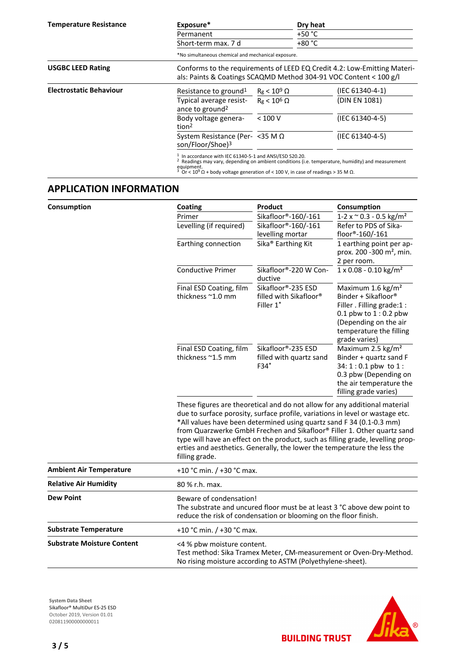| <b>Temperature Resistance</b>  | Exposure*                                                                                                                                                             |                     | Dry heat |                                                                                                 |  |
|--------------------------------|-----------------------------------------------------------------------------------------------------------------------------------------------------------------------|---------------------|----------|-------------------------------------------------------------------------------------------------|--|
|                                | Permanent                                                                                                                                                             |                     |          | $+50 °C$                                                                                        |  |
|                                | Short-term max. 7 d                                                                                                                                                   |                     |          |                                                                                                 |  |
|                                | *No simultaneous chemical and mechanical exposure.                                                                                                                    |                     |          |                                                                                                 |  |
| <b>USGBC LEED Rating</b>       | Conforms to the requirements of LEED EQ Credit 4.2: Low-Emitting Materi-                                                                                              |                     |          |                                                                                                 |  |
|                                | als: Paints & Coatings SCAQMD Method 304-91 VOC Content < 100 g/l                                                                                                     |                     |          |                                                                                                 |  |
| <b>Electrostatic Behaviour</b> | Resistance to ground <sup>1</sup>                                                                                                                                     | $R_g < 10^9 \Omega$ |          | (IEC 61340-4-1)                                                                                 |  |
|                                | Typical average resist-<br>ance to ground <sup>2</sup>                                                                                                                | $Re < 10^6 \Omega$  |          | (DIN EN 1081)                                                                                   |  |
|                                | Body voltage genera-<br>tion <sup>2</sup>                                                                                                                             | < 100 V             |          | (IEC 61340-4-5)                                                                                 |  |
|                                | System Resistance (Per- < 35 M Ω<br>son/Floor/Shoe) <sup>3</sup>                                                                                                      |                     |          | (IEC 61340-4-5)                                                                                 |  |
|                                | In accordance with IEC 61340-5-1 and ANSI/ESD S20.20.<br>equipment.<br>Or < $10^9 \Omega$ + body voltage generation of < 100 V, in case of readings > 35 M $\Omega$ . |                     |          | Readings may vary, depending on ambient conditions (i.e. temperature, humidity) and measurement |  |

# **APPLICATION INFORMATION**

| Consumption                       | Coating                                                                                                                                                                                                                                                                                                                                                                                                                                                                                         | <b>Product</b>                                            | Consumption                                                                                                                                                                       |  |
|-----------------------------------|-------------------------------------------------------------------------------------------------------------------------------------------------------------------------------------------------------------------------------------------------------------------------------------------------------------------------------------------------------------------------------------------------------------------------------------------------------------------------------------------------|-----------------------------------------------------------|-----------------------------------------------------------------------------------------------------------------------------------------------------------------------------------|--|
|                                   | Primer                                                                                                                                                                                                                                                                                                                                                                                                                                                                                          | Sikafloor®-160/-161                                       | $1-2 \times \degree 0.3 - 0.5 \text{ kg/m}^2$                                                                                                                                     |  |
|                                   | Levelling (if required)                                                                                                                                                                                                                                                                                                                                                                                                                                                                         | Sikafloor®-160/-161<br>levelling mortar                   | Refer to PDS of Sika-<br>floor®-160/-161                                                                                                                                          |  |
|                                   | Earthing connection                                                                                                                                                                                                                                                                                                                                                                                                                                                                             | Sika <sup>®</sup> Earthing Kit                            | 1 earthing point per ap-<br>prox. 200 -300 m <sup>2</sup> , min.<br>2 per room.                                                                                                   |  |
|                                   | <b>Conductive Primer</b>                                                                                                                                                                                                                                                                                                                                                                                                                                                                        | Sikafloor®-220 W Con-<br>ductive                          | $1 \times 0.08 - 0.10$ kg/m <sup>2</sup>                                                                                                                                          |  |
|                                   | Final ESD Coating, film<br>thickness ~1.0 mm                                                                                                                                                                                                                                                                                                                                                                                                                                                    | Sikafloor®-235 ESD<br>filled with Sikafloor®<br>Filler 1* | Maximum 1.6 kg/m <sup>2</sup><br>Binder + Sikafloor®<br>Filler . Filling grade:1 :<br>0.1 pbw to $1:0.2$ pbw<br>(Depending on the air<br>temperature the filling<br>grade varies) |  |
|                                   | Final ESD Coating, film<br>thickness ~1.5 mm                                                                                                                                                                                                                                                                                                                                                                                                                                                    | Sikafloor®-235 ESD<br>filled with quartz sand<br>$F34*$   | Maximum 2.5 kg/m <sup>2</sup><br>Binder + quartz sand F<br>$34:1:0.1$ pbw to $1:$<br>0.3 pbw (Depending on<br>the air temperature the<br>filling grade varies)                    |  |
|                                   | These figures are theoretical and do not allow for any additional material<br>due to surface porosity, surface profile, variations in level or wastage etc.<br>*All values have been determined using quartz sand F 34 (0.1-0.3 mm)<br>from Quarzwerke GmbH Frechen and Sikafloor® Filler 1. Other quartz sand<br>type will have an effect on the product, such as filling grade, levelling prop-<br>erties and aesthetics. Generally, the lower the temperature the less the<br>filling grade. |                                                           |                                                                                                                                                                                   |  |
| <b>Ambient Air Temperature</b>    | +10 °C min. / +30 °C max.                                                                                                                                                                                                                                                                                                                                                                                                                                                                       |                                                           |                                                                                                                                                                                   |  |
| <b>Relative Air Humidity</b>      | 80 % r.h. max.                                                                                                                                                                                                                                                                                                                                                                                                                                                                                  |                                                           |                                                                                                                                                                                   |  |
| <b>Dew Point</b>                  | Beware of condensation!<br>The substrate and uncured floor must be at least 3 °C above dew point to<br>reduce the risk of condensation or blooming on the floor finish.                                                                                                                                                                                                                                                                                                                         |                                                           |                                                                                                                                                                                   |  |
| <b>Substrate Temperature</b>      | +10 °C min. / +30 °C max.                                                                                                                                                                                                                                                                                                                                                                                                                                                                       |                                                           |                                                                                                                                                                                   |  |
| <b>Substrate Moisture Content</b> | <4 % pbw moisture content.<br>Test method: Sika Tramex Meter, CM-measurement or Oven-Dry-Method.<br>No rising moisture according to ASTM (Polyethylene-sheet).                                                                                                                                                                                                                                                                                                                                  |                                                           |                                                                                                                                                                                   |  |

**System Data Sheet** Sikafloor® MultiDur ES-25 ESD October 2019, Version 01.01 0208119000000000011

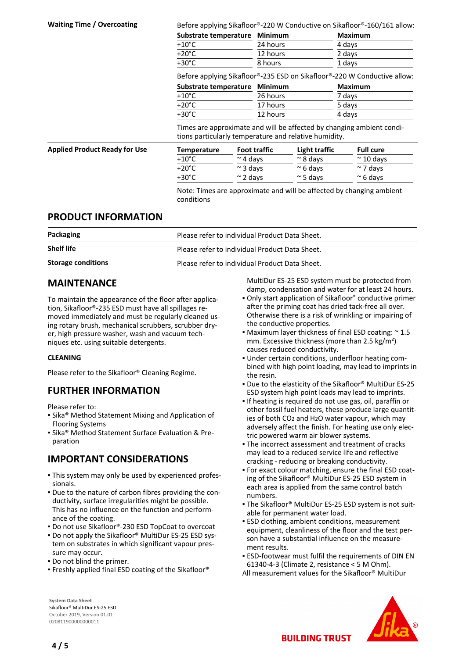| <b>Waiting Time / Overcoating</b>    | Before applying Sikafloor®-220 W Conductive on Sikafloor®-160/161 allow:                                                       |               |                     |                  |                |                   |
|--------------------------------------|--------------------------------------------------------------------------------------------------------------------------------|---------------|---------------------|------------------|----------------|-------------------|
|                                      | Substrate temperature                                                                                                          |               | <b>Minimum</b>      |                  | <b>Maximum</b> |                   |
|                                      | $+10^{\circ}$ C                                                                                                                |               | 24 hours            |                  | 4 days         |                   |
|                                      | $+20^{\circ}$ C                                                                                                                |               | 12 hours            |                  | 2 days         |                   |
|                                      | $+30^{\circ}$ C                                                                                                                |               | 8 hours             |                  | 1 days         |                   |
|                                      | Before applying Sikafloor®-235 ESD on Sikafloor®-220 W Conductive allow:                                                       |               |                     |                  |                |                   |
|                                      | Substrate temperature                                                                                                          |               | <b>Minimum</b>      |                  | <b>Maximum</b> |                   |
|                                      | $+10^{\circ}$ C                                                                                                                |               | 26 hours            |                  | 7 days         |                   |
|                                      | $+20^{\circ}$ C                                                                                                                |               | 17 hours            |                  | 5 days         |                   |
|                                      | $+30^{\circ}$ C                                                                                                                |               | 12 hours            |                  | 4 days         |                   |
|                                      | Times are approximate and will be affected by changing ambient condi-<br>tions particularly temperature and relative humidity. |               |                     |                  |                |                   |
| <b>Applied Product Ready for Use</b> | <b>Temperature</b>                                                                                                             |               | <b>Foot traffic</b> | Light traffic    |                | <b>Full cure</b>  |
|                                      | +10°C                                                                                                                          | $\sim$ 4 days |                     | $\approx$ 8 days |                | $\approx$ 10 days |
|                                      | $+20^{\circ}$ C                                                                                                                | $\sim$ 3 days |                     | $\approx$ 6 days |                | $\sim$ 7 days     |
|                                      | $+30^{\circ}$ C                                                                                                                | $\sim$ 2 days |                     | $\approx$ 5 days |                | $\approx$ 6 days  |
|                                      | Note: Times are approximate and will be affected by changing ambient<br>conditions                                             |               |                     |                  |                |                   |

#### **PRODUCT INFORMATION**

| Packaging                 | Please refer to individual Product Data Sheet. |
|---------------------------|------------------------------------------------|
| <b>Shelf life</b>         | Please refer to individual Product Data Sheet. |
| <b>Storage conditions</b> | Please refer to individual Product Data Sheet. |

#### **MAINTENANCE**

To maintain the appearance of the floor after application, Sikafloor®-235 ESD must have all spillages removed immediately and must be regularly cleaned using rotary brush, mechanical scrubbers, scrubber dryer, high pressure washer, wash and vacuum techniques etc. using suitable detergents.

#### **CLEANING**

Please refer to the Sikafloor® Cleaning Regime.

## **FURTHER INFORMATION**

Please refer to:

- **Examphemana Statement Mixing and Application of** Flooring Systems
- Sika® Method Statement Surface Evaluation & Preparation

# **IMPORTANT CONSIDERATIONS**

- This system may only be used by experienced profes-▪ sionals.
- Due to the nature of carbon fibres providing the con-▪ ductivity, surface irregularities might be possible. This has no influence on the function and performance of the coating.
- Do not use Sikafloor®-230 ESD TopCoat to overcoat
- Do not apply the Sikafloor® MultiDur ES-25 ESD sys-▪ tem on substrates in which significant vapour pressure may occur.
- Do not blind the primer.
- Freshly applied final ESD coating of the Sikafloor®

MultiDur ES-25 ESD system must be protected from damp, condensation and water for at least 24 hours.

- Only start application of Sikafloor® conductive primer after the priming coat has dried tack-free all over. Otherwise there is a risk of wrinkling or impairing of the conductive properties.
- Maximum layer thickness of final ESD coating:  $\simeq$  1.5 mm. Excessive thickness (more than 2.5 kg/m²) causes reduced conductivity.
- Under certain conditions, underfloor heating com-▪ bined with high point loading, may lead to imprints in the resin.
- Due to the elasticity of the Sikafloor® MultiDur ES-25 ESD system high point loads may lead to imprints.
- If heating is required do not use gas, oil, paraffin or other fossil fuel heaters, these produce large quantities of both CO2 and H2O water vapour, which may adversely affect the finish. For heating use only electric powered warm air blower systems.
- **The incorrect assessment and treatment of cracks** may lead to a reduced service life and reflective cracking - reducing or breaking conductivity.
- For exact colour matching, ensure the final ESD coat-▪ ing of the Sikafloor® MultiDur ES-25 ESD system in each area is applied from the same control batch numbers.
- The Sikafloor® MultiDur ES-25 ESD system is not suit-▪ able for permanent water load.
- **ESD clothing, ambient conditions, measurement** equipment, cleanliness of the floor and the test person have a substantial influence on the measurement results.
- **ESD-footwear must fulfil the requirements of DIN EN** 61340-4-3 (Climate 2, resistance < 5 M Ohm).
- All measurement values for the Sikafloor® MultiDur



**System Data Sheet** Sikafloor® MultiDur ES-25 ESD October 2019, Version 01.01 020811900000000011